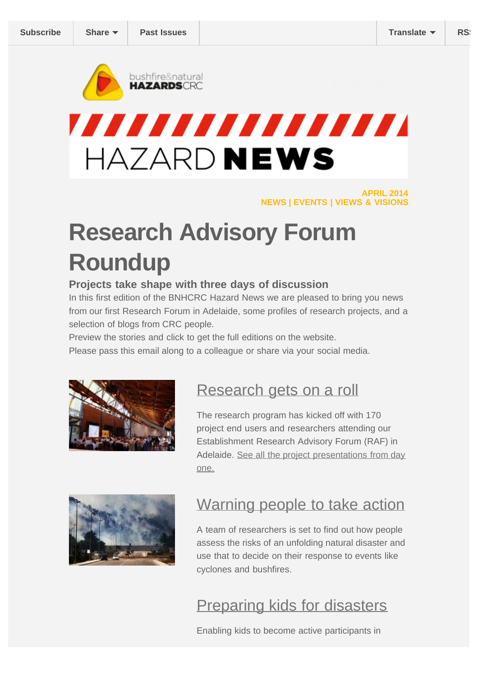<span id="page-0-0"></span>

# 77777777777777777 HAZARD NEWS

**APRIL 2014 NEWS | EVENTS | VIEWS & VISIONS**

# **Research Advisory Forum Roundup**

#### **Projects take shape with three days of discussion**

In this first edition of the BNHCRC Hazard News we are pleased to bring you news from our first Research Forum in Adelaide, some profiles of research projects, and a selection of blogs from CRC people.

Preview the stories and click to get the full editions on the website.

Please pass this email along to a colleague or share via your social media.



#### [Research gets on a roll](http://www.bnhcrc.com.au/news/2014/research-gets-roll)

The research program has kicked off with 170 project end users and researchers attending our Establishment Research Advisory Forum (RAF) in Adelaide. [See all the project presentations from day](http://www.bnhcrc.com.au/events/2014-research-forum-adelaide#tabs-0-contentmain-2) [one.](http://www.bnhcrc.com.au/events/2014-research-forum-adelaide#tabs-0-contentmain-2)



#### [Warning people to take action](http://www.bnhcrc.com.au/news/2014/warning-communities-take-action)

A team of researchers is set to find out how people assess the risks of an unfolding natural disaster and use that to decide on their response to events like cyclones and bushfires.

[Preparing kids for disasters](http://www.bnhcrc.com.au/news/2014/preparing-kids-disasters-may-help-mobilise-whole-community)

Enabling kids to become active participants in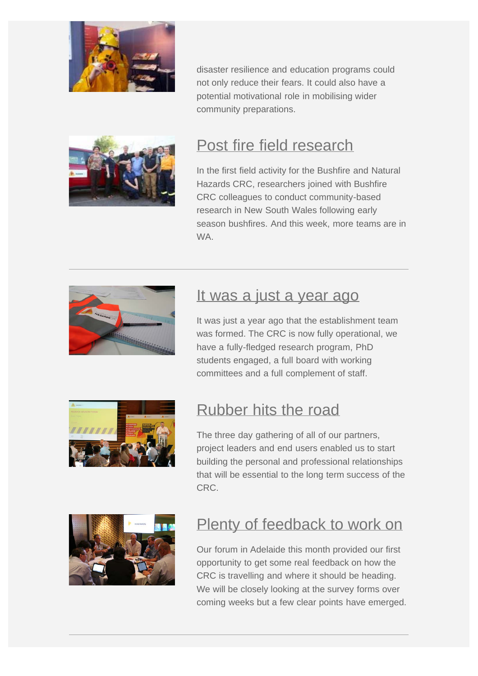

disaster resilience and education programs could not only reduce their fears. It could also have a potential motivational role in mobilising wider community preparations.



# [Post fire field research](http://www.bnhcrc.com.au/news/2013/post-fire-field-research)

In the first field activity for the Bushfire and Natural Hazards CRC, researchers joined with Bushfire CRC colleagues to conduct community-based research in New South Wales following early season bushfires. And this week, more teams are in WA.



#### [It was a just a year ago](http://www.bnhcrc.com.au/news/blogpost/richard-thornton/2014/it-was-just-year-ago)

It was just a year ago that the establishment team was formed. The CRC is now fully operational, we have a fully-fledged research program, PhD students engaged, a full board with working committees and a full complement of staff.



#### [Rubber hits the road](http://www.bnhcrc.com.au/news/blogpost/michael-rumsewicz/2014/rubber-hits-road)

The three day gathering of all of our partners, project leaders and end users enabled us to start building the personal and professional relationships that will be essential to the long term success of the CRC.



#### [Plenty of feedback to work on](http://www.bnhcrc.com.au/news/blogpost/david-bruce/2014/plenty-feedback-work)

Our forum in Adelaide this month provided our first opportunity to get some real feedback on how the CRC is travelling and where it should be heading. We will be closely looking at the survey forms over coming weeks but a few clear points have emerged.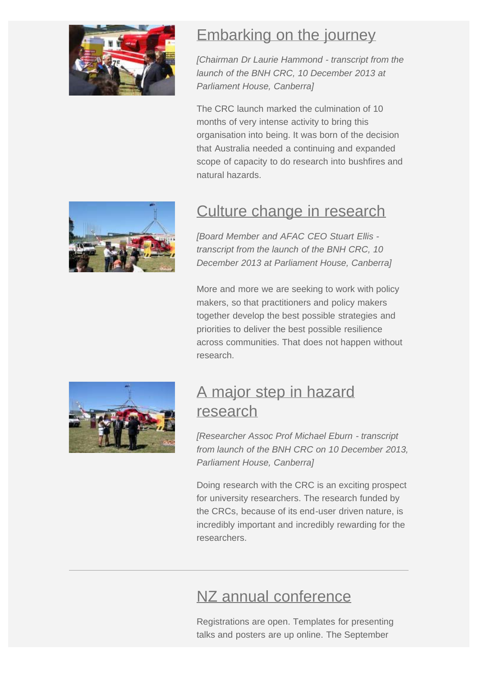

## [Embarking on the journey](http://www.bnhcrc.com.au/news/blogpost/laurie-hammond/2014/embarking-journey)

*[Chairman Dr Laurie Hammond - transcript from the launch of the BNH CRC, 10 December 2013 at Parliament House, Canberra]*

The CRC launch marked the culmination of 10 months of very intense activity to bring this organisation into being. It was born of the decision that Australia needed a continuing and expanded scope of capacity to do research into bushfires and natural hazards.



## [Culture change in research](http://www.bnhcrc.com.au/news/blogpost/stuart-ellis/2014/culture-change-through-research)

*[Board Member and AFAC CEO Stuart Ellis transcript from the launch of the BNH CRC, 10 December 2013 at Parliament House, Canberra]*

More and more we are seeking to work with policy makers, so that practitioners and policy makers together develop the best possible strategies and priorities to deliver the best possible resilience across communities. That does not happen without research.



#### [A major step in hazard](http://www.bnhcrc.com.au/news/blogpost/michael-eburn/2013/major-step-forward-bushfire-research) [research](http://www.bnhcrc.com.au/news/blogpost/michael-eburn/2013/major-step-forward-bushfire-research)

*[Researcher Assoc Prof Michael Eburn - transcript from launch of the BNH CRC on 10 December 2013, Parliament House, Canberra]*

Doing research with the CRC is an exciting prospect for university researchers. The research funded by the CRCs, because of its end-user driven nature, is incredibly important and incredibly rewarding for the researchers.

#### [NZ annual conference](http://www.bnhcrc.com.au/events/2014-annual-conf)

Registrations are open. Templates for presenting talks and posters are up online. The September